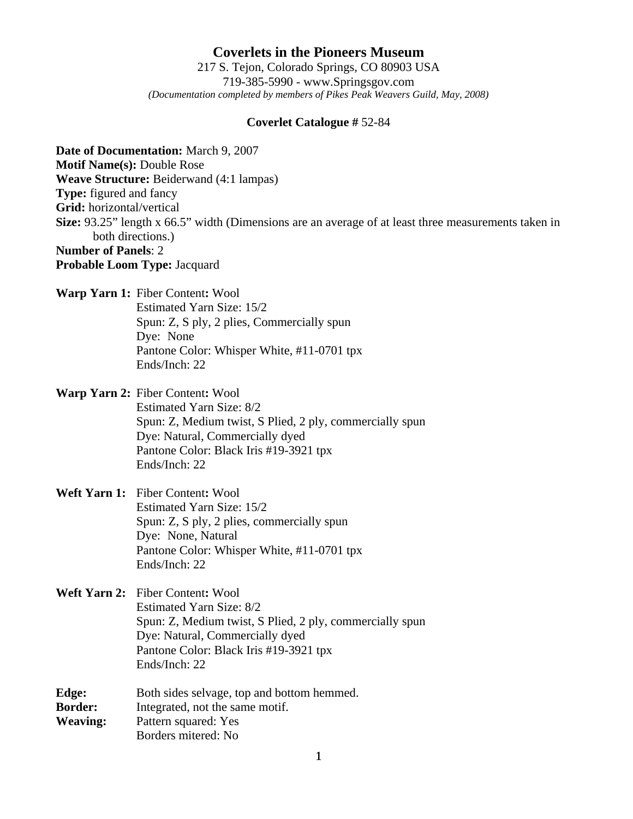**Coverlets in the Pioneers Museum** 217 S. Tejon, Colorado Springs, CO 80903 USA 719-385-5990 - www.Springsgov.com *(Documentation completed by members of Pikes Peak Weavers Guild, May, 2008)* 

#### **Coverlet Catalogue #** 52-84

**Date of Documentation:** March 9, 2007 **Motif Name(s):** Double Rose **Weave Structure:** Beiderwand (4:1 lampas) **Type:** figured and fancy **Grid:** horizontal/vertical **Size:** 93.25" length x 66.5" width (Dimensions are an average of at least three measurements taken in both directions.) **Number of Panels**: 2 **Probable Loom Type:** Jacquard

**Warp Yarn 1:** Fiber Content**:** Wool Estimated Yarn Size: 15/2

 Spun: Z, S ply, 2 plies, Commercially spun Dye: None Pantone Color: Whisper White, #11-0701 tpx Ends/Inch: 22

**Warp Yarn 2:** Fiber Content**:** Wool

 Estimated Yarn Size: 8/2 Spun: Z, Medium twist, S Plied, 2 ply, commercially spun Dye: Natural, Commercially dyed Pantone Color: Black Iris #19-3921 tpx Ends/Inch: 22

# **Weft Yarn 1:** Fiber Content**:** Wool Estimated Yarn Size: 15/2 Spun: Z, S ply, 2 plies, commercially spun Dye: None, Natural Pantone Color: Whisper White, #11-0701 tpx Ends/Inch: 22

**Weft Yarn 2:** Fiber Content**:** Wool Estimated Yarn Size: 8/2 Spun: Z, Medium twist, S Plied, 2 ply, commercially spun Dye: Natural, Commercially dyed Pantone Color: Black Iris #19-3921 tpx Ends/Inch: 22

**Edge:** Both sides selvage, top and bottom hemmed. **Border:** Integrated, not the same motif. **Weaving:** Pattern squared: Yes Borders mitered: No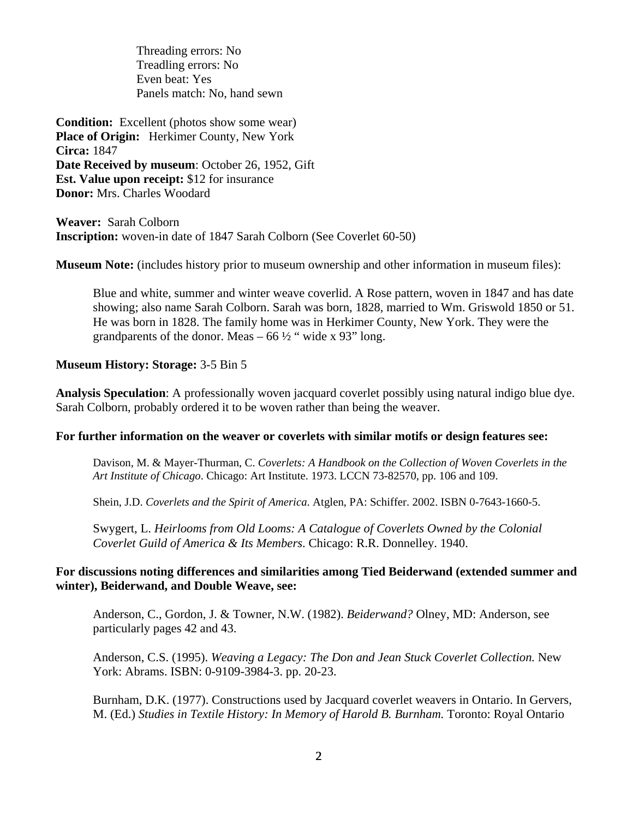Threading errors: No Treadling errors: No Even beat: Yes Panels match: No, hand sewn

**Condition:** Excellent (photos show some wear) **Place of Origin:** Herkimer County, New York **Circa:** 1847 **Date Received by museum**: October 26, 1952, Gift **Est. Value upon receipt:** \$12 for insurance **Donor:** Mrs. Charles Woodard

**Weaver:** Sarah Colborn **Inscription:** woven-in date of 1847 Sarah Colborn (See Coverlet 60-50)

**Museum Note:** (includes history prior to museum ownership and other information in museum files):

 Blue and white, summer and winter weave coverlid. A Rose pattern, woven in 1847 and has date showing; also name Sarah Colborn. Sarah was born, 1828, married to Wm. Griswold 1850 or 51. He was born in 1828. The family home was in Herkimer County, New York. They were the grandparents of the donor. Meas  $-66\frac{1}{2}$  " wide x 93" long.

### **Museum History: Storage:** 3-5 Bin 5

**Analysis Speculation**: A professionally woven jacquard coverlet possibly using natural indigo blue dye. Sarah Colborn, probably ordered it to be woven rather than being the weaver.

### **For further information on the weaver or coverlets with similar motifs or design features see:**

 Davison, M. & Mayer-Thurman, C. *Coverlets: A Handbook on the Collection of Woven Coverlets in the Art Institute of Chicago*. Chicago: Art Institute. 1973. LCCN 73-82570, pp. 106 and 109.

Shein, J.D. *Coverlets and the Spirit of America*. Atglen, PA: Schiffer. 2002. ISBN 0-7643-1660-5.

 Swygert, L. *Heirlooms from Old Looms: A Catalogue of Coverlets Owned by the Colonial Coverlet Guild of America & Its Members*. Chicago: R.R. Donnelley. 1940.

# **For discussions noting differences and similarities among Tied Beiderwand (extended summer and winter), Beiderwand, and Double Weave, see:**

 Anderson, C., Gordon, J. & Towner, N.W. (1982). *Beiderwand?* Olney, MD: Anderson, see particularly pages 42 and 43.

 Anderson, C.S. (1995). *Weaving a Legacy: The Don and Jean Stuck Coverlet Collection.* New York: Abrams. ISBN: 0-9109-3984-3. pp. 20-23.

 Burnham, D.K. (1977). Constructions used by Jacquard coverlet weavers in Ontario. In Gervers, M. (Ed.) *Studies in Textile History: In Memory of Harold B. Burnham.* Toronto: Royal Ontario